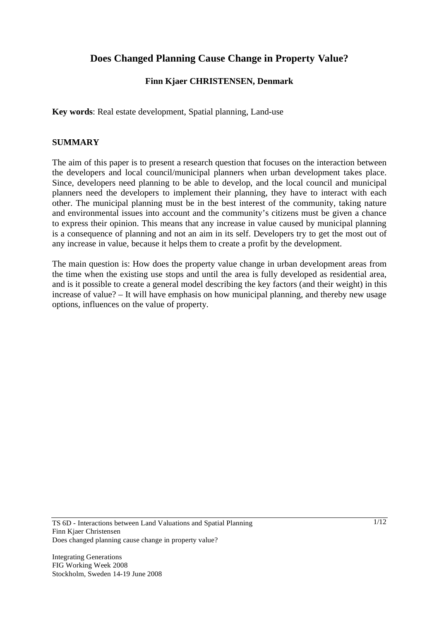# **Does Changed Planning Cause Change in Property Value?**

## **Finn Kjaer CHRISTENSEN, Denmark**

**Key words**: Real estate development, Spatial planning, Land-use

#### **SUMMARY**

The aim of this paper is to present a research question that focuses on the interaction between the developers and local council/municipal planners when urban development takes place. Since, developers need planning to be able to develop, and the local council and municipal planners need the developers to implement their planning, they have to interact with each other. The municipal planning must be in the best interest of the community, taking nature and environmental issues into account and the community's citizens must be given a chance to express their opinion. This means that any increase in value caused by municipal planning is a consequence of planning and not an aim in its self. Developers try to get the most out of any increase in value, because it helps them to create a profit by the development.

The main question is: How does the property value change in urban development areas from the time when the existing use stops and until the area is fully developed as residential area, and is it possible to create a general model describing the key factors (and their weight) in this increase of value? – It will have emphasis on how municipal planning, and thereby new usage options, influences on the value of property.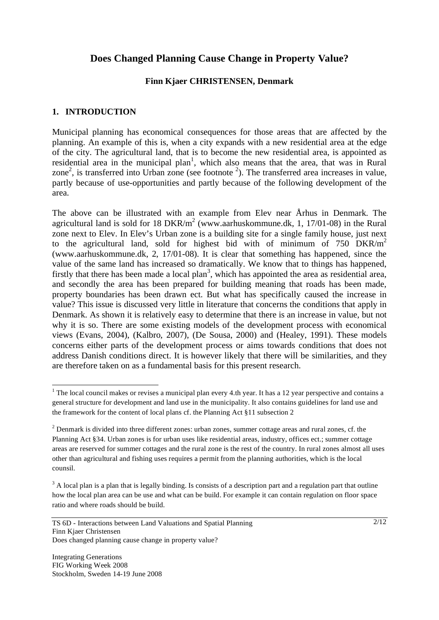## **Does Changed Planning Cause Change in Property Value?**

### **Finn Kjaer CHRISTENSEN, Denmark**

## **1. INTRODUCTION**

Municipal planning has economical consequences for those areas that are affected by the planning. An example of this is, when a city expands with a new residential area at the edge of the city. The agricultural land, that is to become the new residential area, is appointed as residential area in the municipal plan<sup>1</sup>, which also means that the area, that was in Rural zone<sup>2</sup>, is transferred into Urban zone (see footnote  $\frac{2}{3}$ ). The transferred area increases in value, partly because of use-opportunities and partly because of the following development of the area.

The above can be illustrated with an example from Elev near Århus in Denmark. The agricultural land is sold for 18  $DKR/m<sup>2</sup>$  (www.aarhuskommune.dk, 1, 17/01-08) in the Rural zone next to Elev. In Elev's Urban zone is a building site for a single family house, just next to the agricultural land, sold for highest bid with of minimum of 750  $DKR/m<sup>2</sup>$ (www.aarhuskommune.dk, 2, 17/01-08). It is clear that something has happened, since the value of the same land has increased so dramatically. We know that to things has happened, firstly that there has been made a local plan<sup>3</sup>, which has appointed the area as residential area, and secondly the area has been prepared for building meaning that roads has been made, property boundaries has been drawn ect. But what has specifically caused the increase in value? This issue is discussed very little in literature that concerns the conditions that apply in Denmark. As shown it is relatively easy to determine that there is an increase in value, but not why it is so. There are some existing models of the development process with economical views (Evans, 2004), (Kalbro, 2007), (De Sousa, 2000) and (Healey, 1991). These models concerns either parts of the development process or aims towards conditions that does not address Danish conditions direct. It is however likely that there will be similarities, and they are therefore taken on as a fundamental basis for this present research.

l

<sup>&</sup>lt;sup>1</sup> The local council makes or revises a municipal plan every 4.th year. It has a 12 year perspective and contains a general structure for development and land use in the municipality. It also contains guidelines for land use and the framework for the content of local plans cf. the Planning Act §11 subsection 2

 $2$  Denmark is divided into three different zones: urban zones, summer cottage areas and rural zones, cf. the Planning Act §34. Urban zones is for urban uses like residential areas, industry, offices ect.; summer cottage areas are reserved for summer cottages and the rural zone is the rest of the country. In rural zones almost all uses other than agricultural and fishing uses requires a permit from the planning authorities, which is the local counsil.

 $3$  A local plan is a plan that is legally binding. Is consists of a description part and a regulation part that outline how the local plan area can be use and what can be build. For example it can contain regulation on floor space ratio and where roads should be build.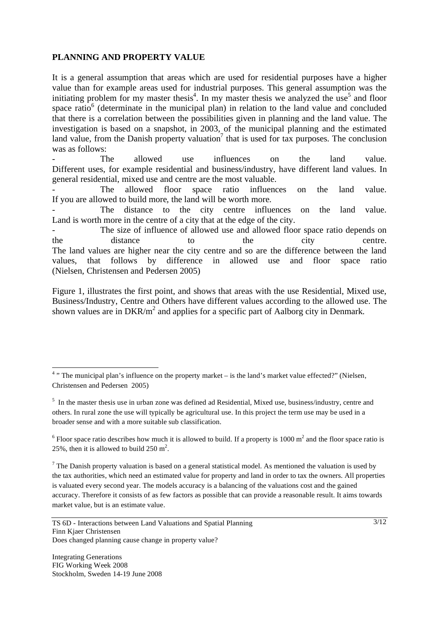## **PLANNING AND PROPERTY VALUE**

It is a general assumption that areas which are used for residential purposes have a higher value than for example areas used for industrial purposes. This general assumption was the initiating problem for my master thesis<sup>4</sup>. In my master thesis we analyzed the use<sup>5</sup> and floor space ratio<sup>6</sup> (determinate in the municipal plan) in relation to the land value and concluded that there is a correlation between the possibilities given in planning and the land value. The investigation is based on a snapshot, in 2003, of the municipal planning and the estimated land value, from the Danish property valuation<sup>7</sup> that is used for tax purposes. The conclusion was as follows:

- The allowed use influences on the land value. Different uses, for example residential and business/industry, have different land values. In general residential, mixed use and centre are the most valuable.

The allowed floor space ratio influences on the land value. If you are allowed to build more, the land will be worth more.

The distance to the city centre influences on the land value. Land is worth more in the centre of a city that at the edge of the city.

The size of influence of allowed use and allowed floor space ratio depends on the distance to the city centre. The land values are higher near the city centre and so are the difference between the land values, that follows by difference in allowed use and floor space ratio (Nielsen, Christensen and Pedersen 2005)

Figure 1, illustrates the first point, and shows that areas with the use Residential, Mixed use, Business/Industry, Centre and Others have different values according to the allowed use. The shown values are in  $DKR/m<sup>2</sup>$  and applies for a specific part of Aalborg city in Denmark.

l

 $4$ <sup>3</sup> The municipal plan's influence on the property market – is the land's market value effected?" (Nielsen, Christensen and Pedersen 2005)

<sup>&</sup>lt;sup>5</sup> In the master thesis use in urban zone was defined ad Residential, Mixed use, business/industry, centre and others. In rural zone the use will typically be agricultural use. In this project the term use may be used in a broader sense and with a more suitable sub classification.

<sup>&</sup>lt;sup>6</sup> Floor space ratio describes how much it is allowed to build. If a property is 1000  $m<sup>2</sup>$  and the floor space ratio is 25%, then it is allowed to build  $250 \text{ m}^2$ .

<sup>&</sup>lt;sup>7</sup> The Danish property valuation is based on a general statistical model. As mentioned the valuation is used by the tax authorities, which need an estimated value for property and land in order to tax the owners. All properties is valuated every second year. The models accuracy is a balancing of the valuations cost and the gained accuracy. Therefore it consists of as few factors as possible that can provide a reasonable result. It aims towards market value, but is an estimate value.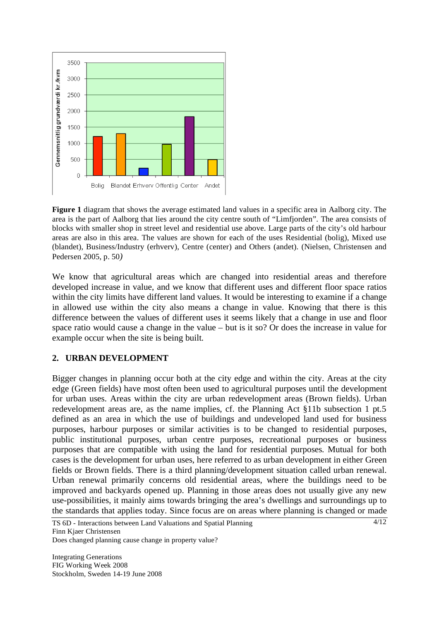

**Figure 1** diagram that shows the average estimated land values in a specific area in Aalborg city. The area is the part of Aalborg that lies around the city centre south of "Limfjorden". The area consists of blocks with smaller shop in street level and residential use above. Large parts of the city's old harbour areas are also in this area. The values are shown for each of the uses Residential (bolig), Mixed use (blandet), Business/Industry (erhverv), Centre (center) and Others (andet). (Nielsen, Christensen and Pedersen 2005, p. 50*)* 

We know that agricultural areas which are changed into residential areas and therefore developed increase in value, and we know that different uses and different floor space ratios within the city limits have different land values. It would be interesting to examine if a change in allowed use within the city also means a change in value. Knowing that there is this difference between the values of different uses it seems likely that a change in use and floor space ratio would cause a change in the value – but is it so? Or does the increase in value for example occur when the site is being built.

## **2. URBAN DEVELOPMENT**

Bigger changes in planning occur both at the city edge and within the city. Areas at the city edge (Green fields) have most often been used to agricultural purposes until the development for urban uses. Areas within the city are urban redevelopment areas (Brown fields). Urban redevelopment areas are, as the name implies, cf. the Planning Act §11b subsection 1 pt.5 defined as an area in which the use of buildings and undeveloped land used for business purposes, harbour purposes or similar activities is to be changed to residential purposes, public institutional purposes, urban centre purposes, recreational purposes or business purposes that are compatible with using the land for residential purposes. Mutual for both cases is the development for urban uses, here referred to as urban development in either Green fields or Brown fields. There is a third planning/development situation called urban renewal. Urban renewal primarily concerns old residential areas, where the buildings need to be improved and backyards opened up. Planning in those areas does not usually give any new use-possibilities, it mainly aims towards bringing the area's dwellings and surroundings up to the standards that applies today. Since focus are on areas where planning is changed or made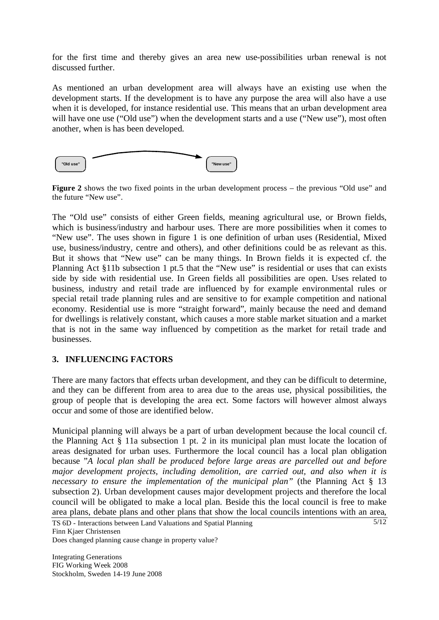for the first time and thereby gives an area new use-possibilities urban renewal is not discussed further.

As mentioned an urban development area will always have an existing use when the development starts. If the development is to have any purpose the area will also have a use when it is developed, for instance residential use. This means that an urban development area will have one use ("Old use") when the development starts and a use ("New use"), most often another, when is has been developed.



**Figure 2** shows the two fixed points in the urban development process – the previous "Old use" and the future "New use".

The "Old use" consists of either Green fields, meaning agricultural use, or Brown fields, which is business/industry and harbour uses. There are more possibilities when it comes to "New use". The uses shown in figure 1 is one definition of urban uses (Residential, Mixed use, business/industry, centre and others), and other definitions could be as relevant as this. But it shows that "New use" can be many things. In Brown fields it is expected cf. the Planning Act §11b subsection 1 pt.5 that the "New use" is residential or uses that can exists side by side with residential use. In Green fields all possibilities are open. Uses related to business, industry and retail trade are influenced by for example environmental rules or special retail trade planning rules and are sensitive to for example competition and national economy. Residential use is more "straight forward", mainly because the need and demand for dwellings is relatively constant, which causes a more stable market situation and a market that is not in the same way influenced by competition as the market for retail trade and businesses.

## **3. INFLUENCING FACTORS**

There are many factors that effects urban development, and they can be difficult to determine, and they can be different from area to area due to the areas use, physical possibilities, the group of people that is developing the area ect. Some factors will however almost always occur and some of those are identified below.

Municipal planning will always be a part of urban development because the local council cf. the Planning Act § 11a subsection 1 pt. 2 in its municipal plan must locate the location of areas designated for urban uses. Furthermore the local council has a local plan obligation because "*A local plan shall be produced before large areas are parcelled out and before major development projects, including demolition, are carried out, and also when it is necessary to ensure the implementation of the municipal plan"* (the Planning Act § 13 subsection 2). Urban development causes major development projects and therefore the local council will be obligated to make a local plan. Beside this the local council is free to make area plans, debate plans and other plans that show the local councils intentions with an area,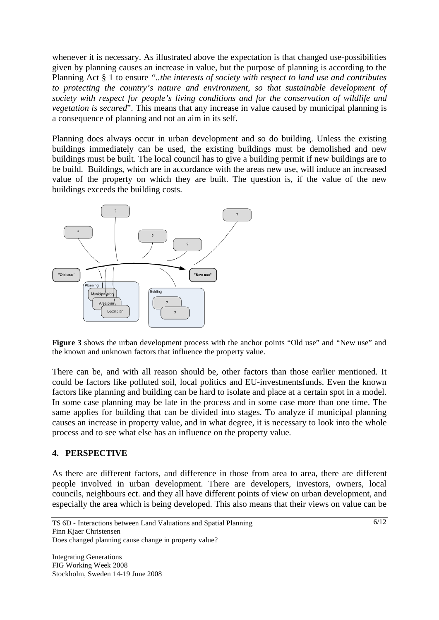whenever it is necessary. As illustrated above the expectation is that changed use-possibilities given by planning causes an increase in value, but the purpose of planning is according to the Planning Act § 1 to ensure *"..the interests of society with respect to land use and contributes to protecting the country's nature and environment, so that sustainable development of society with respect for people's living conditions and for the conservation of wildlife and vegetation is secured*". This means that any increase in value caused by municipal planning is a consequence of planning and not an aim in its self.

Planning does always occur in urban development and so do building. Unless the existing buildings immediately can be used, the existing buildings must be demolished and new buildings must be built. The local council has to give a building permit if new buildings are to be build. Buildings, which are in accordance with the areas new use, will induce an increased value of the property on which they are built. The question is, if the value of the new buildings exceeds the building costs.



Figure 3 shows the urban development process with the anchor points "Old use" and "New use" and the known and unknown factors that influence the property value.

There can be, and with all reason should be, other factors than those earlier mentioned. It could be factors like polluted soil, local politics and EU-investmentsfunds. Even the known factors like planning and building can be hard to isolate and place at a certain spot in a model. In some case planning may be late in the process and in some case more than one time. The same applies for building that can be divided into stages. To analyze if municipal planning causes an increase in property value, and in what degree, it is necessary to look into the whole process and to see what else has an influence on the property value.

## **4. PERSPECTIVE**

As there are different factors, and difference in those from area to area, there are different people involved in urban development. There are developers, investors, owners, local councils, neighbours ect. and they all have different points of view on urban development, and especially the area which is being developed. This also means that their views on value can be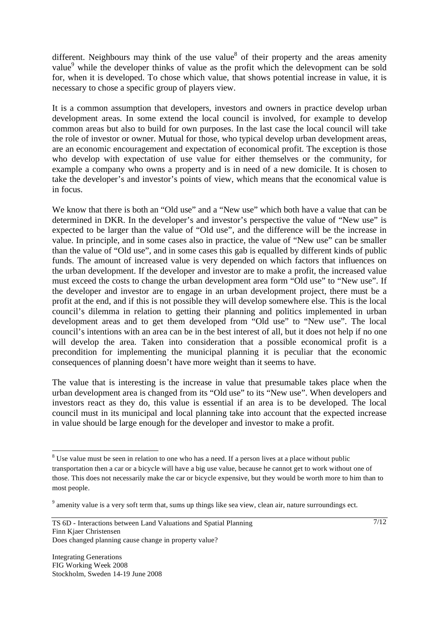different. Neighbours may think of the use value<sup>8</sup> of their property and the areas amenity value<sup>9</sup> while the developer thinks of value as the profit which the delevopment can be sold for, when it is developed. To chose which value, that shows potential increase in value, it is necessary to chose a specific group of players view.

It is a common assumption that developers, investors and owners in practice develop urban development areas. In some extend the local council is involved, for example to develop common areas but also to build for own purposes. In the last case the local council will take the role of investor or owner. Mutual for those, who typical develop urban development areas, are an economic encouragement and expectation of economical profit. The exception is those who develop with expectation of use value for either themselves or the community, for example a company who owns a property and is in need of a new domicile. It is chosen to take the developer's and investor's points of view, which means that the economical value is in focus.

We know that there is both an "Old use" and a "New use" which both have a value that can be determined in DKR. In the developer's and investor's perspective the value of "New use" is expected to be larger than the value of "Old use", and the difference will be the increase in value. In principle, and in some cases also in practice, the value of "New use" can be smaller than the value of "Old use", and in some cases this gab is equalled by different kinds of public funds. The amount of increased value is very depended on which factors that influences on the urban development. If the developer and investor are to make a profit, the increased value must exceed the costs to change the urban development area form "Old use" to "New use". If the developer and investor are to engage in an urban development project, there must be a profit at the end, and if this is not possible they will develop somewhere else. This is the local council's dilemma in relation to getting their planning and politics implemented in urban development areas and to get them developed from "Old use" to "New use". The local council's intentions with an area can be in the best interest of all, but it does not help if no one will develop the area. Taken into consideration that a possible economical profit is a precondition for implementing the municipal planning it is peculiar that the economic consequences of planning doesn't have more weight than it seems to have.

The value that is interesting is the increase in value that presumable takes place when the urban development area is changed from its "Old use" to its "New use". When developers and investors react as they do, this value is essential if an area is to be developed. The local council must in its municipal and local planning take into account that the expected increase in value should be large enough for the developer and investor to make a profit.

-

 $8$  Use value must be seen in relation to one who has a need. If a person lives at a place without public transportation then a car or a bicycle will have a big use value, because he cannot get to work without one of those. This does not necessarily make the car or bicycle expensive, but they would be worth more to him than to most people.

<sup>&</sup>lt;sup>9</sup> amenity value is a very soft term that, sums up things like sea view, clean air, nature surroundings ect.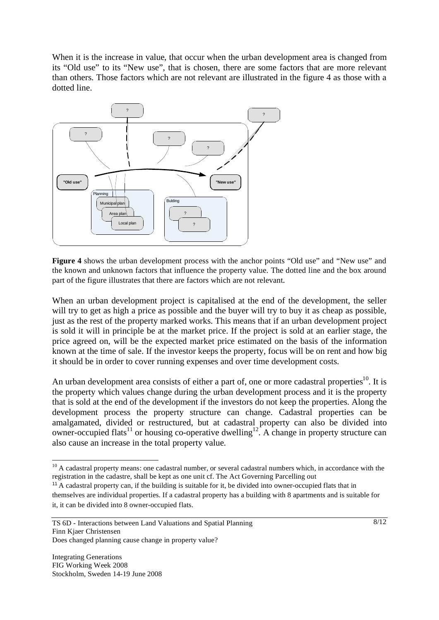When it is the increase in value, that occur when the urban development area is changed from its "Old use" to its "New use", that is chosen, there are some factors that are more relevant than others. Those factors which are not relevant are illustrated in the figure 4 as those with a dotted line.



**Figure 4** shows the urban development process with the anchor points "Old use" and "New use" and the known and unknown factors that influence the property value. The dotted line and the box around part of the figure illustrates that there are factors which are not relevant*.* 

When an urban development project is capitalised at the end of the development, the seller will try to get as high a price as possible and the buyer will try to buy it as cheap as possible, just as the rest of the property marked works. This means that if an urban development project is sold it will in principle be at the market price. If the project is sold at an earlier stage, the price agreed on, will be the expected market price estimated on the basis of the information known at the time of sale. If the investor keeps the property, focus will be on rent and how big it should be in order to cover running expenses and over time development costs.

An urban development area consists of either a part of, one or more cadastral properties<sup>10</sup>. It is the property which values change during the urban development process and it is the property that is sold at the end of the development if the investors do not keep the properties. Along the development process the property structure can change. Cadastral properties can be amalgamated, divided or restructured, but at cadastral property can also be divided into owner-occupied flats<sup>11</sup> or housing co-operative dwelling<sup>12</sup>. A change in property structure can also cause an increase in the total property value.

l  $10$  A cadastral property means: one cadastral number, or several cadastral numbers which, in accordance with the registration in the cadastre, shall be kept as one unit cf. The Act Governing Parcelling out

<sup>&</sup>lt;sup>11</sup> A cadastral property can, if the building is suitable for it, be divided into owner-occupied flats that in

themselves are individual properties. If a cadastral property has a building with 8 apartments and is suitable for it, it can be divided into 8 owner-occupied flats.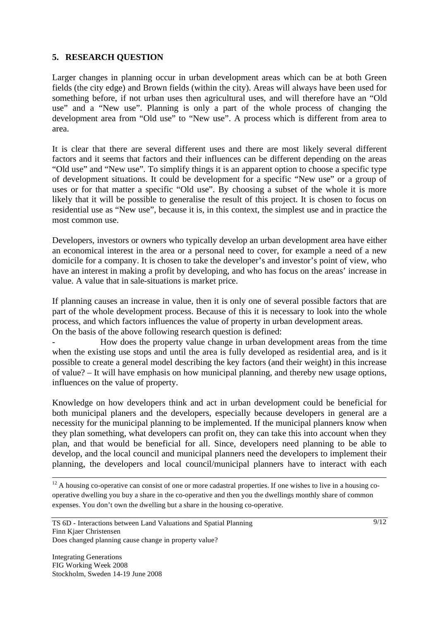## **5. RESEARCH QUESTION**

Larger changes in planning occur in urban development areas which can be at both Green fields (the city edge) and Brown fields (within the city). Areas will always have been used for something before, if not urban uses then agricultural uses, and will therefore have an "Old use" and a "New use". Planning is only a part of the whole process of changing the development area from "Old use" to "New use". A process which is different from area to area.

It is clear that there are several different uses and there are most likely several different factors and it seems that factors and their influences can be different depending on the areas "Old use" and "New use". To simplify things it is an apparent option to choose a specific type of development situations. It could be development for a specific "New use" or a group of uses or for that matter a specific "Old use". By choosing a subset of the whole it is more likely that it will be possible to generalise the result of this project. It is chosen to focus on residential use as "New use", because it is, in this context, the simplest use and in practice the most common use.

Developers, investors or owners who typically develop an urban development area have either an economical interest in the area or a personal need to cover, for example a need of a new domicile for a company. It is chosen to take the developer's and investor's point of view, who have an interest in making a profit by developing, and who has focus on the areas' increase in value. A value that in sale-situations is market price.

If planning causes an increase in value, then it is only one of several possible factors that are part of the whole development process. Because of this it is necessary to look into the whole process, and which factors influences the value of property in urban development areas. On the basis of the above following research question is defined:

- How does the property value change in urban development areas from the time when the existing use stops and until the area is fully developed as residential area, and is it possible to create a general model describing the key factors (and their weight) in this increase of value? – It will have emphasis on how municipal planning, and thereby new usage options, influences on the value of property.

Knowledge on how developers think and act in urban development could be beneficial for both municipal planers and the developers, especially because developers in general are a necessity for the municipal planning to be implemented. If the municipal planners know when they plan something, what developers can profit on, they can take this into account when they plan, and that would be beneficial for all. Since, developers need planning to be able to develop, and the local council and municipal planners need the developers to implement their planning, the developers and local council/municipal planners have to interact with each

 $12$  A housing co-operative can consist of one or more cadastral properties. If one wishes to live in a housing cooperative dwelling you buy a share in the co-operative and then you the dwellings monthly share of common expenses. You don't own the dwelling but a share in the housing co-operative.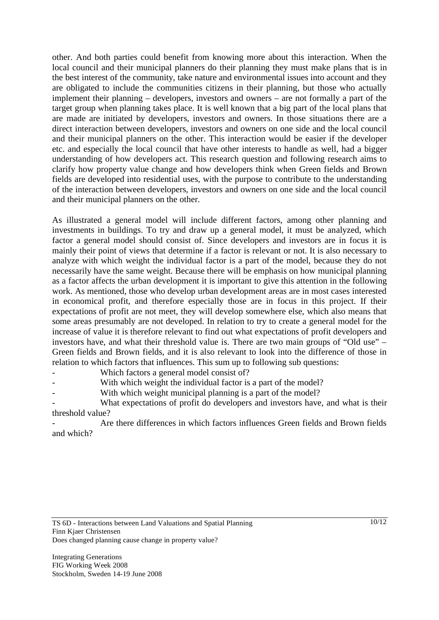other. And both parties could benefit from knowing more about this interaction. When the local council and their municipal planners do their planning they must make plans that is in the best interest of the community, take nature and environmental issues into account and they are obligated to include the communities citizens in their planning, but those who actually implement their planning – developers, investors and owners – are not formally a part of the target group when planning takes place. It is well known that a big part of the local plans that are made are initiated by developers, investors and owners. In those situations there are a direct interaction between developers, investors and owners on one side and the local council and their municipal planners on the other. This interaction would be easier if the developer etc. and especially the local council that have other interests to handle as well, had a bigger understanding of how developers act. This research question and following research aims to clarify how property value change and how developers think when Green fields and Brown fields are developed into residential uses, with the purpose to contribute to the understanding of the interaction between developers, investors and owners on one side and the local council and their municipal planners on the other.

As illustrated a general model will include different factors, among other planning and investments in buildings. To try and draw up a general model, it must be analyzed, which factor a general model should consist of. Since developers and investors are in focus it is mainly their point of views that determine if a factor is relevant or not. It is also necessary to analyze with which weight the individual factor is a part of the model, because they do not necessarily have the same weight. Because there will be emphasis on how municipal planning as a factor affects the urban development it is important to give this attention in the following work. As mentioned, those who develop urban development areas are in most cases interested in economical profit, and therefore especially those are in focus in this project. If their expectations of profit are not meet, they will develop somewhere else, which also means that some areas presumably are not developed. In relation to try to create a general model for the increase of value it is therefore relevant to find out what expectations of profit developers and investors have, and what their threshold value is. There are two main groups of "Old use" – Green fields and Brown fields, and it is also relevant to look into the difference of those in relation to which factors that influences. This sum up to following sub questions:

Which factors a general model consist of?

- With which weight the individual factor is a part of the model?
- With which weight municipal planning is a part of the model?

What expectations of profit do developers and investors have, and what is their threshold value?

Are there differences in which factors influences Green fields and Brown fields and which?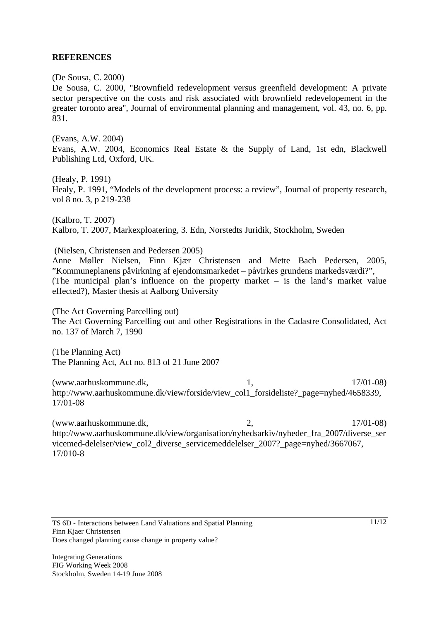#### **REFERENCES**

(De Sousa, C. 2000)

De Sousa, C. 2000, "Brownfield redevelopment versus greenfield development: A private sector perspective on the costs and risk associated with brownfield redevelopement in the greater toronto area", Journal of environmental planning and management, vol. 43, no. 6, pp. 831.

(Evans, A.W. 2004) Evans, A.W. 2004, Economics Real Estate & the Supply of Land, 1st edn, Blackwell Publishing Ltd, Oxford, UK.

(Healy, P. 1991) Healy, P. 1991, "Models of the development process: a review", Journal of property research, vol 8 no. 3, p 219-238

(Kalbro, T. 2007) Kalbro, T. 2007, Markexploatering, 3. Edn, Norstedts Juridik, Stockholm, Sweden

(Nielsen, Christensen and Pedersen 2005)

Anne Møller Nielsen, Finn Kjær Christensen and Mette Bach Pedersen, 2005, "Kommuneplanens påvirkning af ejendomsmarkedet – påvirkes grundens markedsværdi?", (The municipal plan's influence on the property market – is the land's market value effected?), Master thesis at Aalborg University

(The Act Governing Parcelling out) The Act Governing Parcelling out and other Registrations in the Cadastre Consolidated, Act no. 137 of March 7, 1990

(The Planning Act) The Planning Act, Act no. 813 of 21 June 2007

(www.aarhuskommune.dk, 1, 17/01-08) http://www.aarhuskommune.dk/view/forside/view\_col1\_forsideliste?\_page=nyhed/4658339, 17/01-08

(www.aarhuskommune.dk, 2, 17/01-08) http://www.aarhuskommune.dk/view/organisation/nyhedsarkiv/nyheder\_fra\_2007/diverse\_ser vicemed-delelser/view\_col2\_diverse\_servicemeddelelser\_2007?\_page=nyhed/3667067, 17/010-8